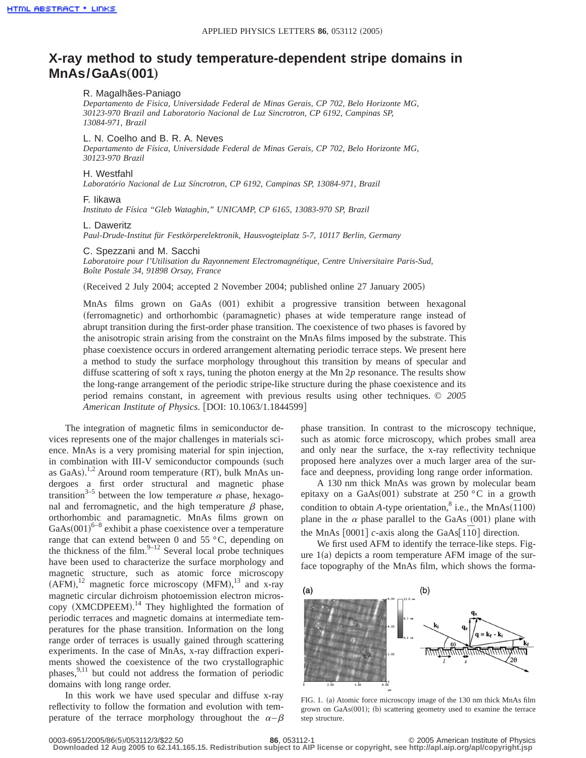# **X-ray method to study temperature-dependent stripe domains in MnAs/GaAs(001)**

# R. Magalhães-Paniago

*Departamento de Fisica, Universidade Federal de Minas Gerais, CP 702, Belo Horizonte MG, 30123-970 Brazil and Laboratorio Nacional de Luz Sincrotron, CP 6192, Campinas SP, 13084-971, Brazil*

## L. N. Coelho and B. R. A. Neves

*Departamento de Física, Universidade Federal de Minas Gerais, CP 702, Belo Horizonte MG, 30123-970 Brazil*

#### H. Westfahl

*Laboratório Nacional de Luz Síncrotron, CP 6192, Campinas SP, 13084-971, Brazil*

## F. Iikawa

*Instituto de Física "Gleb Wataghin," UNICAMP, CP 6165, 13083-970 SP, Brazil*

#### L. Daweritz

*Paul-Drude-Institut für Festkörperelektronik, Hausvogteiplatz 5-7, 10117 Berlin, Germany*

#### C. Spezzani and M. Sacchi

*Laboratoire pour l'Utilisation du Rayonnement Electromagnétique, Centre Universitaire Paris-Sud, Boîte Postale 34, 91898 Orsay, France*

(Received 2 July 2004; accepted 2 November 2004; published online 27 January 2005)

MnAs films grown on GaAs (001) exhibit a progressive transition between hexagonal (ferromagnetic) and orthorhombic (paramagnetic) phases at wide temperature range instead of abrupt transition during the first-order phase transition. The coexistence of two phases is favored by the anisotropic strain arising from the constraint on the MnAs films imposed by the substrate. This phase coexistence occurs in ordered arrangement alternating periodic terrace steps. We present here a method to study the surface morphology throughout this transition by means of specular and diffuse scattering of soft x rays, tuning the photon energy at the Mn 2*p* resonance. The results show the long-range arrangement of the periodic stripe-like structure during the phase coexistence and its period remains constant, in agreement with previous results using other techniques. © *2005 American Institute of Physics.* [DOI: 10.1063/1.1844599]

The integration of magnetic films in semiconductor devices represents one of the major challenges in materials science. MnAs is a very promising material for spin injection, in combination with III-V semiconductor compounds (such as GaAs).<sup>1,2</sup> Around room temperature (RT), bulk MnAs undergoes a first order structural and magnetic phase transition<sup>3-5</sup> between the low temperature  $\alpha$  phase, hexagonal and ferromagnetic, and the high temperature  $\beta$  phase, orthorhombic and paramagnetic. MnAs films grown on  $GaAs(001)^{6-8}$  exhibit a phase coexistence over a temperature range that can extend between 0 and 55 °C, depending on the thickness of the film. $9-12$  Several local probe techniques have been used to characterize the surface morphology and magnetic structure, such as atomic force microscopy  $(AFM),<sup>12</sup>$  magnetic force microscopy  $(MFM),<sup>13</sup>$  and x-ray magnetic circular dichroism photoemission electron microscopy (XMCDPEEM).<sup>14</sup> They highlighted the formation of periodic terraces and magnetic domains at intermediate temperatures for the phase transition. Information on the long range order of terraces is usually gained through scattering experiments. In the case of MnAs, x-ray diffraction experiments showed the coexistence of the two crystallographic phases,<sup>9,11</sup> but could not address the formation of periodic domains with long range order.

In this work we have used specular and diffuse x-ray reflectivity to follow the formation and evolution with temperature of the terrace morphology throughout the  $\alpha-\beta$  phase transition. In contrast to the microscopy technique, such as atomic force microscopy, which probes small area and only near the surface, the x-ray reflectivity technique proposed here analyzes over a much larger area of the surface and deepness, providing long range order information.

A 130 nm thick MnAs was grown by molecular beam epitaxy on a GaAs(001) substrate at 250 °C in a growth condition to obtain *A*-type orientation,<sup>8</sup> i.e., the MnAs( $\overline{1100}$ ) plane in the  $\alpha$  phase parallel to the GaAs (001) plane with the MnAs  $[0001]$  *c*-axis along the GaAs $[1\overline{1}0]$  direction.

We first used AFM to identify the terrace-like steps. Figure  $1(a)$  depicts a room temperature AFM image of the surface topography of the MnAs film, which shows the forma-



FIG. 1. (a) Atomic force microscopy image of the 130 nm thick MnAs film grown on GaAs(001); (b) scattering geometry used to examine the terrace step structure.

**Downloaded 12 Aug 2005 to 62.141.165.15. Redistribution subject to AIP license or copyright, see http://apl.aip.org/apl/copyright.jsp**

<sup>0003-6951/2005/86(5)/053112/3/\$22.50</sup> **86**, 053112-1 © 2005 American Institute of Physics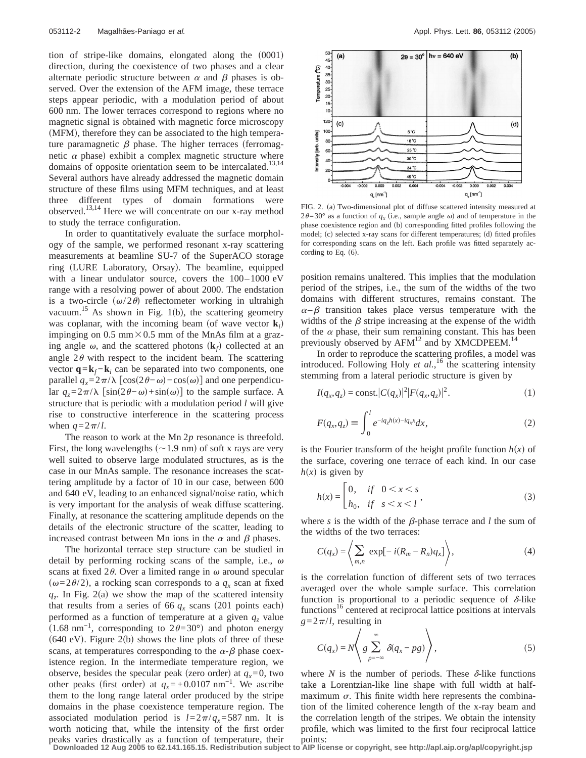tion of stripe-like domains, elongated along the  $(0001)$ direction, during the coexistence of two phases and a clear alternate periodic structure between  $\alpha$  and  $\beta$  phases is observed. Over the extension of the AFM image, these terrace steps appear periodic, with a modulation period of about 600 nm. The lower terraces correspond to regions where no magnetic signal is obtained with magnetic force microscopy (MFM), therefore they can be associated to the high temperature paramagnetic  $\beta$  phase. The higher terraces (ferromagnetic  $\alpha$  phase) exhibit a complex magnetic structure where domains of opposite orientation seem to be intercalated.<sup>13,14</sup> Several authors have already addressed the magnetic domain structure of these films using MFM techniques, and at least three different types of domain formations were observed.<sup>13,14</sup> Here we will concentrate on our x-ray method to study the terrace configuration.

In order to quantitatively evaluate the surface morphology of the sample, we performed resonant x-ray scattering measurements at beamline SU-7 of the SuperACO storage ring (LURE Laboratory, Orsay). The beamline, equipped with a linear undulator source, covers the 100–1000 eV range with a resolving power of about 2000. The endstation is a two-circle  $(\omega/2\theta)$  reflectometer working in ultrahigh vacuum.<sup>15</sup> As shown in Fig. 1(b), the scattering geometry was coplanar, with the incoming beam (of wave vector  $\mathbf{k}_i$ ) impinging on  $0.5$  mm $\times$ 0.5 mm of the MnAs film at a grazing angle  $\omega$ , and the scattered photons  $(\mathbf{k}_f)$  collected at an angle  $2\theta$  with respect to the incident beam. The scattering vector  $\mathbf{q} = \mathbf{k}_f - \mathbf{k}_i$  can be separated into two components, one parallel  $q_x=2\pi/\lambda \left[\cos(2\theta-\omega)-\cos(\omega)\right]$  and one perpendicular  $q_z = 2\pi/\lambda$  [sin(2θ−ω)+sin(ω)] to the sample surface. A structure that is periodic with a modulation period *l* will give rise to constructive interference in the scattering process when  $q=2\pi/l$ .

The reason to work at the Mn 2*p* resonance is threefold. First, the long wavelengths  $(\sim1.9 \text{ nm})$  of soft x rays are very well suited to observe large modulated structures, as is the case in our MnAs sample. The resonance increases the scattering amplitude by a factor of 10 in our case, between 600 and 640 eV, leading to an enhanced signal/noise ratio, which is very important for the analysis of weak diffuse scattering. Finally, at resonance the scattering amplitude depends on the details of the electronic structure of the scatter, leading to increased contrast between Mn ions in the  $\alpha$  and  $\beta$  phases.

The horizontal terrace step structure can be studied in detail by performing rocking scans of the sample, i.e.,  $\omega$ scans at fixed  $2\theta$ . Over a limited range in  $\omega$  around specular  $(\omega=2\theta/2)$ , a rocking scan corresponds to a  $q_x$  scan at fixed  $q_z$ . In Fig. 2(a) we show the map of the scattered intensity that results from a series of 66  $q_x$  scans (201 points each) performed as a function of temperature at a given  $q_z$  value  $(1.68 \text{ nm}^{-1}$ , corresponding to  $2\theta=30^{\circ}$ ) and photon energy  $(640 \text{ eV})$ . Figure 2(b) shows the line plots of three of these scans, at temperatures corresponding to the  $\alpha$ - $\beta$  phase coexistence region. In the intermediate temperature region, we observe, besides the specular peak (zero order) at  $q_x=0$ , two other peaks (first order) at  $q_x = \pm 0.0107$  nm<sup>-1</sup>. We ascribe them to the long range lateral order produced by the stripe domains in the phase coexistence temperature region. The associated modulation period is  $l=2\pi/q_x=587$  nm. It is worth noticing that, while the intensity of the first order peaks varies drastically as a function of temperature, their



FIG. 2. (a) Two-dimensional plot of diffuse scattered intensity measured at  $2\theta=30^\circ$  as a function of  $q_x$  (i.e., sample angle  $\omega$ ) and of temperature in the phase coexistence region and (b) corresponding fitted profiles following the model;  $(c)$  selected x-ray scans for different temperatures;  $(d)$  fitted profiles for corresponding scans on the left. Each profile was fitted separately according to Eq.  $(6)$ .

position remains unaltered. This implies that the modulation period of the stripes, i.e., the sum of the widths of the two domains with different structures, remains constant. The  $\alpha-\beta$  transition takes place versus temperature with the widths of the  $\beta$  stripe increasing at the expense of the width of the  $\alpha$  phase, their sum remaining constant. This has been previously observed by  $AFM^{12}$  and by XMCDPEEM.<sup>14</sup>

In order to reproduce the scattering profiles, a model was introduced. Following Holy *et al.*,<sup>16</sup> the scattering intensity stemming from a lateral periodic structure is given by

$$
I(q_x, q_z) = \text{const.} |C(q_x)|^2 |F(q_x, q_z)|^2.
$$
 (1)

$$
F(q_x, q_z) \equiv \int_0^l e^{-iq_z h(x) - iq_x x} dx,\tag{2}
$$

is the Fourier transform of the height profile function  $h(x)$  of the surface, covering one terrace of each kind. In our case  $h(x)$  is given by

$$
h(x) = \begin{bmatrix} 0, & if & 0 < x < s \\ h_0, & if & s < x < l \end{bmatrix},
$$
 (3)

where *s* is the width of the  $\beta$ -phase terrace and *l* the sum of the widths of the two terraces:

$$
C(q_x) = \left\langle \sum_{m,n} \exp[-i(R_m - R_n)q_x] \right\rangle, \tag{4}
$$

is the correlation function of different sets of two terraces averaged over the whole sample surface. This correlation function is proportional to a periodic sequence of  $\delta$ -like functions<sup>16</sup> centered at reciprocal lattice positions at intervals  $g=2\pi/l$ , resulting in

$$
C(q_x) = N \left\langle g \sum_{p=-\infty}^{\infty} \delta(q_x - pg) \right\rangle, \tag{5}
$$

where *N* is the number of periods. These  $\delta$ -like functions take a Lorentzian-like line shape with full width at halfmaximum  $\sigma$ . This finite width here represents the combination of the limited coherence length of the x-ray beam and the correlation length of the stripes. We obtain the intensity profile, which was limited to the first four reciprocal lattice points:

**Downloaded 12 Aug 2005 to 62.141.165.15. Redistribution subject to AIP license or copyright, see http://apl.aip.org/apl/copyright.jsp**